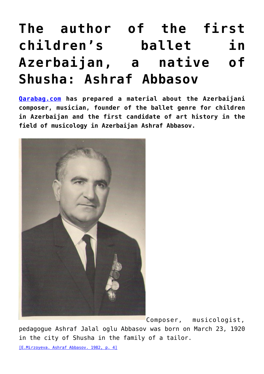## **[The author of the first](https://qarabag.com/the-author-of-the-first-childrens-ballet-in-azerbaijan-a-native-of-shusha-ashraf-abbasov/) [children's ballet in](https://qarabag.com/the-author-of-the-first-childrens-ballet-in-azerbaijan-a-native-of-shusha-ashraf-abbasov/) [Azerbaijan, a native of](https://qarabag.com/the-author-of-the-first-childrens-ballet-in-azerbaijan-a-native-of-shusha-ashraf-abbasov/) [Shusha: Ashraf Abbasov](https://qarabag.com/the-author-of-the-first-childrens-ballet-in-azerbaijan-a-native-of-shusha-ashraf-abbasov/)**

**[Qarabag.com](https://qarabag.com/) has prepared a material about the Azerbaijani composer, musician, founder of the ballet genre for children in Azerbaijan and the first candidate of art history in the field of musicology in Azerbaijan Ashraf Abbasov.**



[C](https://qarabag.com/)omposer, musicologist,

pedagogue Ashraf Jalal oglu Abbasov was born on March 23, 1920 in the city of Shusha in the family of a tailor.

[\[E.Mirzoyeva. Ashraf Abbasov. 1982, p. 4\]](https://qarabag.com/wp-content/uploads/2022/06/мирзоева-2.pdf)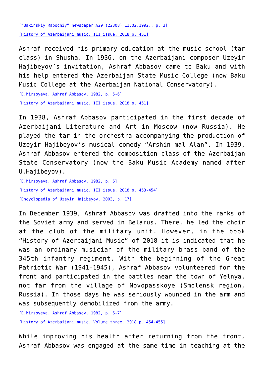[\["Bakinskiy Rabochiy" newspaper №29 \(22308\) 11.02.1992., p. 3\]](https://qarabag.com/wp-content/uploads/2022/06/Бакинский-рабочий.pdf) [\[History of Azerbaijani music. III issue. 2018 p. 451\]](https://qarabag.com/wp-content/uploads/2022/06/Azərbaycan-musiqi-tarixi.pdf)

Ashraf received his primary education at the music school (tar class) in Shusha. In 1936, on the Azerbaijani composer Uzeyir Hajibeyov's invitation, Ashraf Abbasov came to Baku and with his help entered the Azerbaijan State Music College (now Baku Music College at the Azerbaijan National Conservatory).

[\[E.Mirzoyeva. Ashraf Abbasov. 1982, p. 5-6\]](https://qarabag.com/wp-content/uploads/2022/06/мирзоева-2.pdf) [\[History of Azerbaijani music. III issue. 2018 p. 451\]](https://qarabag.com/wp-content/uploads/2022/06/Azərbaycan-musiqi-tarixi.pdf)

In 1938, Ashraf Abbasov participated in the first decade of Azerbaijani Literature and Art in Moscow (now Russia). He played the tar in the orchestra accompanying the production of Uzeyir Hajibeyov's musical comedy "Arshin mal Alan". In 1939, Ashraf Abbasov entered the composition class of the Azerbaijan State Conservatory (now the Baku Music Academy named after U.Hajibeyov).

[\[E.Mirzoyeva. Ashraf Abbasov. 1982, p. 6\]](https://qarabag.com/wp-content/uploads/2022/06/мирзоева-2.pdf) [\[History of Azerbaijani music. III issue. 2018 p. 453-454\]](https://qarabag.com/wp-content/uploads/2022/06/Azərbaycan-musiqi-tarixi.pdf) [\[Encyclopedia of Uzeyir Hajibeyov. 2003, p. 17\]](https://qarabag.com/wp-content/uploads/2022/06/Энциклопедия-Узеира-Гаджибекова.pdf)

In December 1939, Ashraf Abbasov was drafted into the ranks of the Soviet army and served in Belarus. There, he led the choir at the club of the military unit. However, in the book "History of Azerbaijani Music" of 2018 it is indicated that he was an ordinary musician of the military brass band of the 345th infantry regiment. With the beginning of the Great Patriotic War (1941-1945), Ashraf Abbasov volunteered for the front and participated in the battles near the town of Yelnya, not far from the village of Novopasskoye (Smolensk region, Russia). In those days he was seriously wounded in the arm and was subsequently demobilized from the army.

[\[E.Mirzoyeva. Ashraf Abbasov. 1982, p. 6-7\]](https://qarabag.com/wp-content/uploads/2022/06/мирзоева-2.pdf)

[\[History of Azerbaijani music. Volume three. 2018 p. 454-455\]](https://qarabag.com/wp-content/uploads/2022/06/Azərbaycan-musiqi-tarixi.pdf)

While improving his health after returning from the front, Ashraf Abbasov was engaged at the same time in teaching at the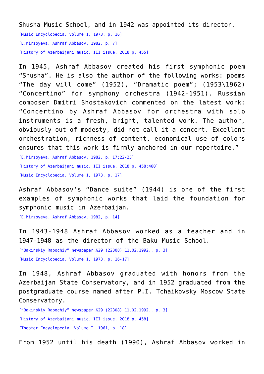Shusha Music School, and in 1942 was appointed its director. [\[Music Encyclopedia. Volume 1, 1973, p. 16\]](https://qarabag.com/wp-content/uploads/2022/06/Muzykalnaya_entsiklopedia_t_1.pdf) [\[E.Mirzoyeva. Ashraf Abbasov. 1982, p. 7\]](https://qarabag.com/wp-content/uploads/2022/06/мирзоева-2.pdf) [\[History of Azerbaijani music. III issue. 2018 p. 455\]](https://qarabag.com/wp-content/uploads/2022/06/Azərbaycan-musiqi-tarixi.pdf)

In 1945, Ashraf Abbasov created his first symphonic poem "Shusha". He is also the author of the following works: poems "The day will come" (1952), "Dramatic poem"; (1953\1962) "Concertino" for symphony orchestra (1942-1951). Russian composer Dmitri Shostakovich commented on the latest work: "Concertino by Ashraf Abbasov for orchestra with solo instruments is a fresh, bright, talented work. The author, obviously out of modesty, did not call it a concert. Excellent orchestration, richness of content, economical use of colors ensures that this work is firmly anchored in our repertoire." [\[E.Mirzoyeva. Ashraf Abbasov. 1982, p. 17;22-23\]](https://qarabag.com/wp-content/uploads/2022/06/мирзоева-2.pdf)

[\[History of Azerbaijani music. III issue. 2018 p. 458;460\]](https://qarabag.com/wp-content/uploads/2022/06/Azərbaycan-musiqi-tarixi.pdf)

[\[Music Encyclopedia. Volume 1, 1973, p. 17\]](https://qarabag.com/wp-content/uploads/2022/06/Muzykalnaya_entsiklopedia_t_1.pdf)

Ashraf Abbasov's "Dance suite" (1944) is one of the first examples of symphonic works that laid the foundation for symphonic music in Azerbaijan.

[\[E.Mirzoyeva. Ashraf Abbasov. 1982, p. 14\]](https://qarabag.com/wp-content/uploads/2022/06/мирзоева-2.pdf)

In 1943-1948 Ashraf Abbasov worked as a teacher and in 1947-1948 as the director of the Baku Music School.

[\["Bakinskiy Rabochiy" newspaper №29 \(22308\) 11.02.1992., p. 3\]](https://qarabag.com/wp-content/uploads/2022/06/Бакинский-рабочий.pdf)

[\[Music Encyclopedia. Volume 1, 1973, p. 16-17\]](https://qarabag.com/wp-content/uploads/2022/06/Muzykalnaya_entsiklopedia_t_1.pdf)

In 1948, Ashraf Abbasov graduated with honors from the Azerbaijan State Conservatory, and in 1952 graduated from the postgraduate course named after P.I. Tchaikovsky Moscow State Conservatory.

[\["Bakinskiy Rabochiy" newspaper №29 \(22308\) 11.02.1992., p. 3\]](https://qarabag.com/wp-content/uploads/2022/06/Бакинский-рабочий.pdf)

[\[History of Azerbaijani music. III issue. 2018 p. 458\]](https://qarabag.com/wp-content/uploads/2022/06/Azərbaycan-musiqi-tarixi.pdf)

[\[Theater Encyclopedia. Volume I. 1961, p. 18\]](https://qarabag.com/wp-content/uploads/2022/06/TEATRAL_NAYa_ENTsIKLOPEDIYa_Tom_1__S_S_Mokulskiy_Moskva_1961_g.pdf)

From 1952 until his death (1990), Ashraf Abbasov worked in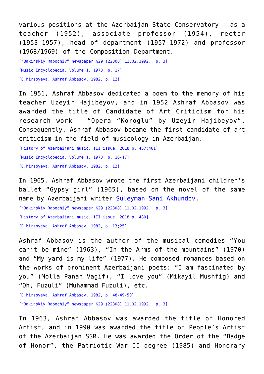various positions at the Azerbaijan State Conservatory – as a teacher (1952), associate professor (1954), rector (1953-1957), head of department (1957-1972) and professor (1968/1969) of the Composition Department.

[\["Bakinskiy Rabochiy" newspaper №29 \(22308\) 11.02.1992., p. 3\]](https://qarabag.com/wp-content/uploads/2022/06/Бакинский-рабочий.pdf) [\[Music Encyclopedia. Volume 1, 1973, p. 17\]](https://qarabag.com/wp-content/uploads/2022/06/Muzykalnaya_entsiklopedia_t_1.pdf) [\[E.Mirzoyeva. Ashraf Abbasov. 1982, p. 12\]](https://qarabag.com/wp-content/uploads/2022/06/мирзоева-2.pdf)

In 1951, Ashraf Abbasov dedicated a poem to the memory of his teacher Uzeyir Hajibeyov, and in 1952 Ashraf Abbasov was awarded the title of Candidate of Art Criticism for his research work – "Opera "Koroglu" by Uzeyir Hajibeyov". Consequently, Ashraf Abbasov became the first candidate of art criticism in the field of musicology in Azerbaijan.

[\[History of Azerbaijani music. III issue. 2018 p. 457;461\]](https://qarabag.com/wp-content/uploads/2022/06/Azərbaycan-musiqi-tarixi.pdf) [\[Music Encyclopedia. Volume 1, 1973, p. 16-17\]](https://qarabag.com/wp-content/uploads/2022/06/Muzykalnaya_entsiklopedia_t_1.pdf) [\[E.Mirzoyeva. Ashraf Abbasov. 1982, p. 12\]](https://qarabag.com/wp-content/uploads/2022/06/мирзоева-2.pdf)

In 1965, Ashraf Abbasov wrote the first Azerbaijani children's ballet "Gypsy girl" (1965), based on the novel of the same name by Azerbaijani writer [Suleyman Sani Akhundov.](https://qarabag.com/one-of-the-founders-of-azerbaijani-childrens-literature-a-native-of-shusha-suleyman-sani-akhundov/)

[\["Bakinskiy Rabochiy" newspaper №29 \(22308\) 11.02.1992., p. 3\]](https://qarabag.com/wp-content/uploads/2022/06/Бакинский-рабочий.pdf)

[\[History of Azerbaijani music. III issue. 2018 p. 480\]](https://qarabag.com/wp-content/uploads/2022/06/Azərbaycan-musiqi-tarixi.pdf)

[\[E.Mirzoyeva. Ashraf Abbasov. 1982, p. 13;25\]](https://qarabag.com/wp-content/uploads/2022/06/мирзоева-2.pdf)

Ashraf Abbasov is the author of the musical comedies "You can't be mine" (1963), "In the Arms of the mountains" (1970) and "My yard is my life" (1977). He composed romances based on the works of prominent Azerbaijani poets: "I am fascinated by you" (Molla Panah Vagif), "I love you" (Mikayil Mushfig) and "Oh, Fuzuli" (Muhammad Fuzuli), etc.

[\[E.Mirzoyeva. Ashraf Abbasov. 1982, p. 48-49-50\]](https://qarabag.com/wp-content/uploads/2022/06/мирзоева-2.pdf) [\["Bakinskiy Rabochiy" newspaper №29 \(22308\) 11.02.1992., p. 3\]](https://qarabag.com/wp-content/uploads/2022/06/Бакинский-рабочий.pdf)

In 1963, Ashraf Abbasov was awarded the title of Honored Artist, and in 1990 was awarded the title of People's Artist of the Azerbaijan SSR. He was awarded the Order of the "Badge of Honor", the Patriotic War II degree (1985) and Honorary